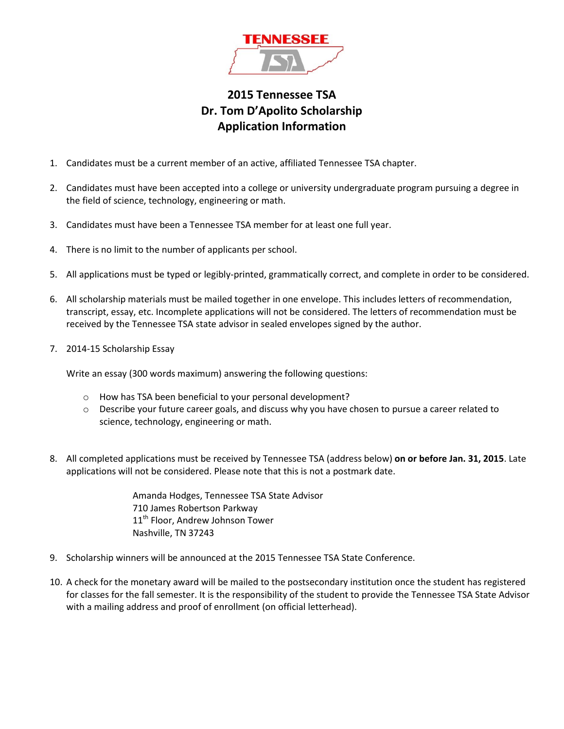

## **2015 Tennessee TSA Dr. Tom D'Apolito Scholarship Application Information**

- 1. Candidates must be a current member of an active, affiliated Tennessee TSA chapter.
- 2. Candidates must have been accepted into a college or university undergraduate program pursuing a degree in the field of science, technology, engineering or math.
- 3. Candidates must have been a Tennessee TSA member for at least one full year.
- 4. There is no limit to the number of applicants per school.
- 5. All applications must be typed or legibly-printed, grammatically correct, and complete in order to be considered.
- 6. All scholarship materials must be mailed together in one envelope. This includes letters of recommendation, transcript, essay, etc. Incomplete applications will not be considered. The letters of recommendation must be received by the Tennessee TSA state advisor in sealed envelopes signed by the author.
- 7. 2014-15 Scholarship Essay

Write an essay (300 words maximum) answering the following questions:

- o How has TSA been beneficial to your personal development?
- o Describe your future career goals, and discuss why you have chosen to pursue a career related to science, technology, engineering or math.
- 8. All completed applications must be received by Tennessee TSA (address below) **on or before Jan. 31, 2015**. Late applications will not be considered. Please note that this is not a postmark date.

Amanda Hodges, Tennessee TSA State Advisor 710 James Robertson Parkway 11<sup>th</sup> Floor, Andrew Johnson Tower Nashville, TN 37243

- 9. Scholarship winners will be announced at the 2015 Tennessee TSA State Conference.
- 10. A check for the monetary award will be mailed to the postsecondary institution once the student has registered for classes for the fall semester. It is the responsibility of the student to provide the Tennessee TSA State Advisor with a mailing address and proof of enrollment (on official letterhead).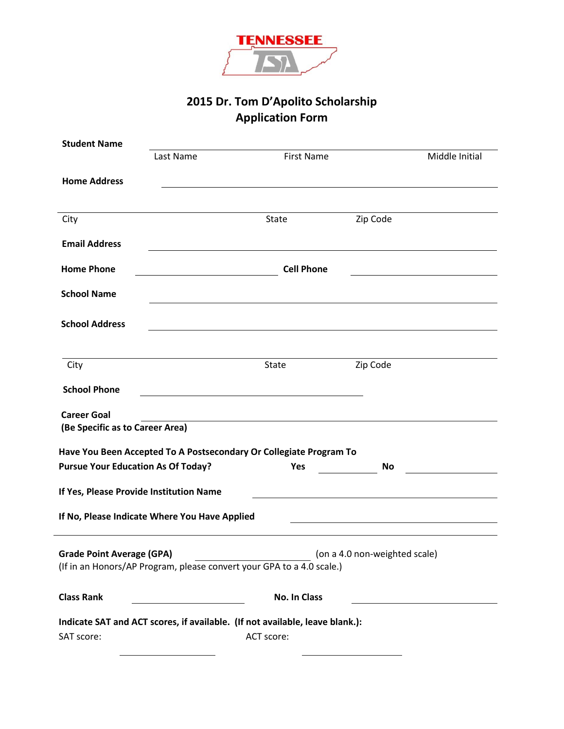

# **2015 Dr. Tom D'Apolito Scholarship Application Form**

| <b>Student Name</b>                                   |                                                                              |                                                                                                                                                                                                                                      |                               |                |  |  |
|-------------------------------------------------------|------------------------------------------------------------------------------|--------------------------------------------------------------------------------------------------------------------------------------------------------------------------------------------------------------------------------------|-------------------------------|----------------|--|--|
|                                                       | Last Name                                                                    | <b>First Name</b>                                                                                                                                                                                                                    |                               | Middle Initial |  |  |
|                                                       |                                                                              |                                                                                                                                                                                                                                      |                               |                |  |  |
| <b>Home Address</b>                                   |                                                                              |                                                                                                                                                                                                                                      |                               |                |  |  |
|                                                       |                                                                              |                                                                                                                                                                                                                                      |                               |                |  |  |
| City                                                  |                                                                              | State                                                                                                                                                                                                                                | Zip Code                      |                |  |  |
|                                                       |                                                                              |                                                                                                                                                                                                                                      |                               |                |  |  |
| <b>Email Address</b>                                  |                                                                              | <u>and the contract of the contract of the contract of the contract of the contract of the contract of the contract of the contract of the contract of the contract of the contract of the contract of the contract of the contr</u> |                               |                |  |  |
| <b>Home Phone</b>                                     | <b>Cell Phone</b>                                                            |                                                                                                                                                                                                                                      |                               |                |  |  |
|                                                       | $\overline{\phantom{a}}$ . The contract of $\overline{\phantom{a}}$          |                                                                                                                                                                                                                                      |                               |                |  |  |
| <b>School Name</b>                                    |                                                                              | <u> 1989 - Johann Barbara, martxa alemaniar amerikan basar da da a shekara 1980 - Andrew Santan Barbara, a shekar</u>                                                                                                                |                               |                |  |  |
|                                                       |                                                                              |                                                                                                                                                                                                                                      |                               |                |  |  |
| <b>School Address</b>                                 |                                                                              |                                                                                                                                                                                                                                      |                               |                |  |  |
|                                                       |                                                                              |                                                                                                                                                                                                                                      |                               |                |  |  |
| City                                                  |                                                                              | <b>State</b>                                                                                                                                                                                                                         | Zip Code                      |                |  |  |
|                                                       |                                                                              |                                                                                                                                                                                                                                      |                               |                |  |  |
| <b>School Phone</b>                                   |                                                                              |                                                                                                                                                                                                                                      |                               |                |  |  |
|                                                       |                                                                              |                                                                                                                                                                                                                                      |                               |                |  |  |
| <b>Career Goal</b><br>(Be Specific as to Career Area) |                                                                              |                                                                                                                                                                                                                                      |                               |                |  |  |
|                                                       |                                                                              |                                                                                                                                                                                                                                      |                               |                |  |  |
|                                                       | Have You Been Accepted To A Postsecondary Or Collegiate Program To           |                                                                                                                                                                                                                                      |                               |                |  |  |
| <b>Pursue Your Education As Of Today?</b>             |                                                                              | <b>Yes</b>                                                                                                                                                                                                                           | <b>No</b>                     |                |  |  |
|                                                       |                                                                              |                                                                                                                                                                                                                                      |                               |                |  |  |
| If Yes, Please Provide Institution Name               |                                                                              |                                                                                                                                                                                                                                      |                               |                |  |  |
|                                                       | If No, Please Indicate Where You Have Applied                                |                                                                                                                                                                                                                                      |                               |                |  |  |
|                                                       |                                                                              |                                                                                                                                                                                                                                      |                               |                |  |  |
| <b>Grade Point Average (GPA)</b>                      |                                                                              |                                                                                                                                                                                                                                      | (on a 4.0 non-weighted scale) |                |  |  |
|                                                       | (If in an Honors/AP Program, please convert your GPA to a 4.0 scale.)        |                                                                                                                                                                                                                                      |                               |                |  |  |
|                                                       |                                                                              |                                                                                                                                                                                                                                      |                               |                |  |  |
| <b>Class Rank</b>                                     |                                                                              | <b>No. In Class</b>                                                                                                                                                                                                                  |                               |                |  |  |
|                                                       |                                                                              |                                                                                                                                                                                                                                      |                               |                |  |  |
|                                                       | Indicate SAT and ACT scores, if available. (If not available, leave blank.): |                                                                                                                                                                                                                                      |                               |                |  |  |
| SAT score:                                            |                                                                              | ACT score:                                                                                                                                                                                                                           |                               |                |  |  |
|                                                       |                                                                              |                                                                                                                                                                                                                                      |                               |                |  |  |